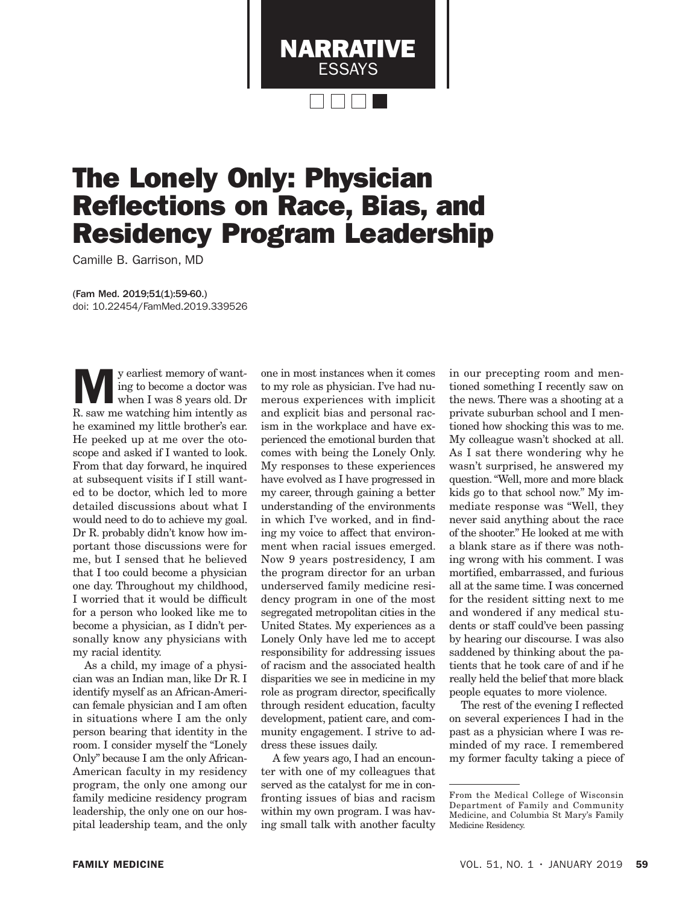

## The Lonely Only: Physician Reflections on Race, Bias, and Residency Program Leadership

Camille B. Garrison, MD

(Fam Med. 2019;51(1):59-60.) doi: 10.22454/FamMed.2019.339526

y earliest memory of want-<br>ing to become a doctor was<br>when I was 8 years old. Dr<br>B saw me watching him intently as ing to become a doctor was R. saw me watching him intently as he examined my little brother's ear. He peeked up at me over the otoscope and asked if I wanted to look. From that day forward, he inquired at subsequent visits if I still wanted to be doctor, which led to more detailed discussions about what I would need to do to achieve my goal. Dr R. probably didn't know how important those discussions were for me, but I sensed that he believed that I too could become a physician one day. Throughout my childhood, I worried that it would be difficult for a person who looked like me to become a physician, as I didn't personally know any physicians with my racial identity.

As a child, my image of a physician was an Indian man, like Dr R. I identify myself as an African-American female physician and I am often in situations where I am the only person bearing that identity in the room. I consider myself the "Lonely Only" because I am the only African-American faculty in my residency program, the only one among our family medicine residency program leadership, the only one on our hospital leadership team, and the only one in most instances when it comes to my role as physician. I've had numerous experiences with implicit and explicit bias and personal racism in the workplace and have experienced the emotional burden that comes with being the Lonely Only. My responses to these experiences have evolved as I have progressed in my career, through gaining a better understanding of the environments in which I've worked, and in finding my voice to affect that environment when racial issues emerged. Now 9 years postresidency, I am the program director for an urban underserved family medicine residency program in one of the most segregated metropolitan cities in the United States. My experiences as a Lonely Only have led me to accept responsibility for addressing issues of racism and the associated health disparities we see in medicine in my role as program director, specifically through resident education, faculty development, patient care, and community engagement. I strive to address these issues daily.

A few years ago, I had an encounter with one of my colleagues that served as the catalyst for me in confronting issues of bias and racism within my own program. I was having small talk with another faculty

in our precepting room and mentioned something I recently saw on the news. There was a shooting at a private suburban school and I mentioned how shocking this was to me. My colleague wasn't shocked at all. As I sat there wondering why he wasn't surprised, he answered my question. "Well, more and more black kids go to that school now." My immediate response was "Well, they never said anything about the race of the shooter." He looked at me with a blank stare as if there was nothing wrong with his comment. I was mortified, embarrassed, and furious all at the same time. I was concerned for the resident sitting next to me and wondered if any medical students or staff could've been passing by hearing our discourse. I was also saddened by thinking about the patients that he took care of and if he really held the belief that more black people equates to more violence.

The rest of the evening I reflected on several experiences I had in the past as a physician where I was reminded of my race. I remembered my former faculty taking a piece of

From the Medical College of Wisconsin Department of Family and Community Medicine, and Columbia St Mary's Family Medicine Residency.